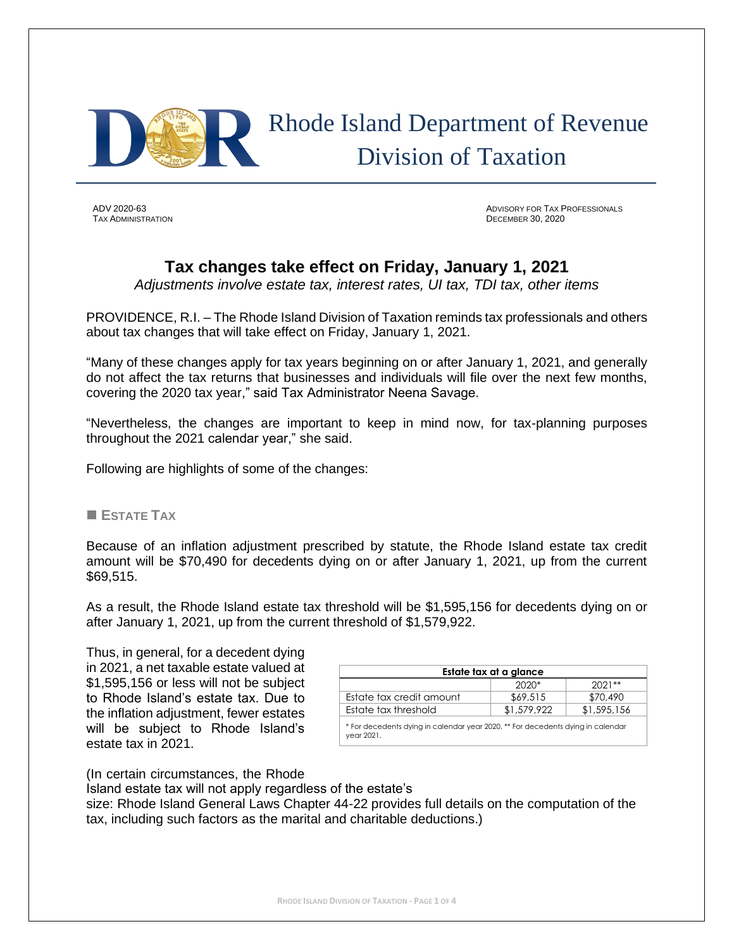

# Rhode Island Department of Revenue Division of Taxation

**TAX ADMINISTRATION** 

ADV 2020-63 ADVISORY FOR TAX PROFESSIONALS

## **Tax changes take effect on Friday, January 1, 2021**

*Adjustments involve estate tax, interest rates, UI tax, TDI tax, other items*

PROVIDENCE, R.I. – The Rhode Island Division of Taxation reminds tax professionals and others about tax changes that will take effect on Friday, January 1, 2021.

"Many of these changes apply for tax years beginning on or after January 1, 2021, and generally do not affect the tax returns that businesses and individuals will file over the next few months, covering the 2020 tax year," said Tax Administrator Neena Savage.

"Nevertheless, the changes are important to keep in mind now, for tax-planning purposes throughout the 2021 calendar year," she said.

Following are highlights of some of the changes:

#### ■ **ESTATE TAX**

Because of an inflation adjustment prescribed by statute, the Rhode Island estate tax credit amount will be \$70,490 for decedents dying on or after January 1, 2021, up from the current \$69,515.

As a result, the Rhode Island estate tax threshold will be \$1,595,156 for decedents dying on or after January 1, 2021, up from the current threshold of \$1,579,922.

Thus, in general, for a decedent dying in 2021, a net taxable estate valued at \$1,595,156 or less will not be subject to Rhode Island's estate tax. Due to the inflation adjustment, fewer estates will be subject to Rhode Island's estate tax in 2021.

| Estate tax at a glance                                                                        |             |             |  |
|-----------------------------------------------------------------------------------------------|-------------|-------------|--|
|                                                                                               | $2020*$     | $2021**$    |  |
| Estate tax credit amount                                                                      | \$69,515    | \$70,490    |  |
| Estate tax threshold                                                                          | \$1,579,922 | \$1,595,156 |  |
| * For decedents dying in calendar year 2020, ** For decedents dying in calendar<br>vear 2021. |             |             |  |

(In certain circumstances, the Rhode

Island estate tax will not apply regardless of the estate's

size: Rhode Island General Laws Chapter 44-22 provides full details on the computation of the tax, including such factors as the marital and charitable deductions.)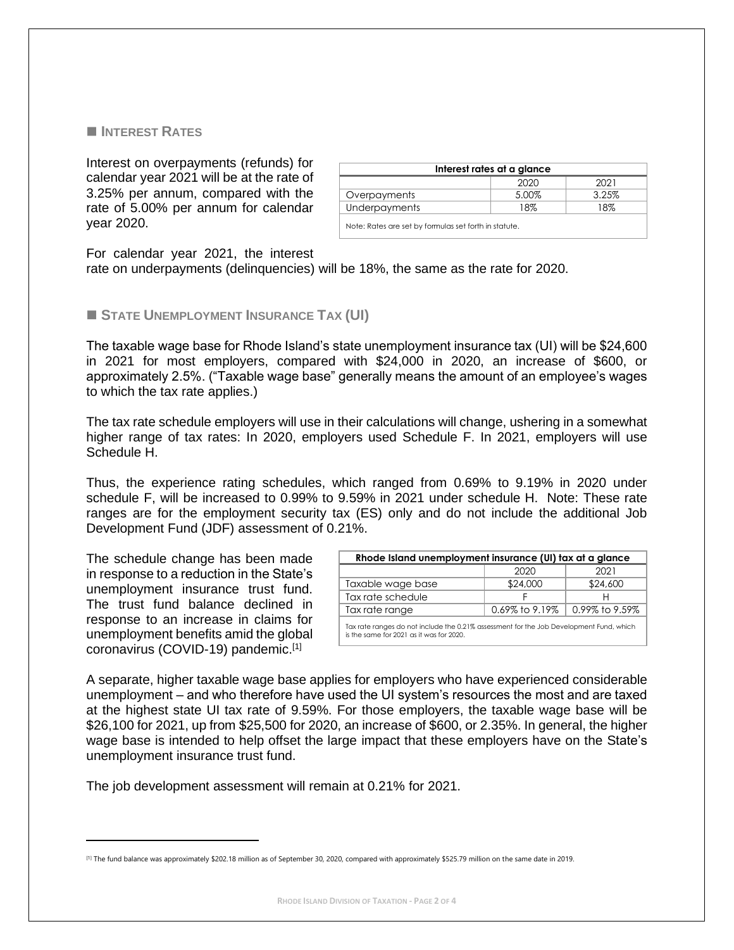#### ■ **INTEREST RATES**

Interest on overpayments (refunds) for calendar year 2021 will be at the rate of 3.25% per annum, compared with the rate of 5.00% per annum for calendar year 2020.

| Interest rates at a glance                            |       |       |  |
|-------------------------------------------------------|-------|-------|--|
|                                                       | 2020  | 2021  |  |
| Overpayments                                          | 5.00% | 3.25% |  |
| Underpayments                                         | 18%   | 18%   |  |
| Note: Rates are set by formulas set forth in statute. |       |       |  |

For calendar year 2021, the interest

rate on underpayments (delinquencies) will be 18%, the same as the rate for 2020.

#### ◼ **STATE UNEMPLOYMENT INSURANCE TAX (UI)**

The taxable wage base for Rhode Island's state unemployment insurance tax (UI) will be \$24,600 in 2021 for most employers, compared with \$24,000 in 2020, an increase of \$600, or approximately 2.5%. ("Taxable wage base" generally means the amount of an employee's wages to which the tax rate applies.)

The tax rate schedule employers will use in their calculations will change, ushering in a somewhat higher range of tax rates: In 2020, employers used Schedule F. In 2021, employers will use Schedule H.

Thus, the experience rating schedules, which ranged from 0.69% to 9.19% in 2020 under schedule F, will be increased to 0.99% to 9.59% in 2021 under schedule H. Note: These rate ranges are for the employment security tax (ES) only and do not include the additional Job Development Fund (JDF) assessment of 0.21%.

The schedule change has been made in response to a reduction in the State's unemployment insurance trust fund. The trust fund balance declined in response to an increase in claims for unemployment benefits amid the global coronavirus (COVID-19) pandemic.[1]

| Rhode Island unemployment insurance (UI) tax at a glance                                                                            |                   |                   |  |
|-------------------------------------------------------------------------------------------------------------------------------------|-------------------|-------------------|--|
|                                                                                                                                     | 2020              | 2021              |  |
| Taxable wage base                                                                                                                   | \$24,000          | \$24,600          |  |
| Tax rate schedule                                                                                                                   |                   |                   |  |
| Tax rate range                                                                                                                      | $0.69\%$ to 9.19% | $0.99\%$ to 9.59% |  |
| Tax rate ranges do not include the 0.21% assessment for the Job Development Fund, which<br>is the same for 2021 as it was for 2020. |                   |                   |  |

A separate, higher taxable wage base applies for employers who have experienced considerable unemployment – and who therefore have used the UI system's resources the most and are taxed at the highest state UI tax rate of 9.59%. For those employers, the taxable wage base will be \$26,100 for 2021, up from \$25,500 for 2020, an increase of \$600, or 2.35%. In general, the higher wage base is intended to help offset the large impact that these employers have on the State's unemployment insurance trust fund.

The job development assessment will remain at 0.21% for 2021.

<sup>[1]</sup> The fund balance was approximately \$202.18 million as of September 30, 2020, compared with approximately \$525.79 million on the same date in 2019.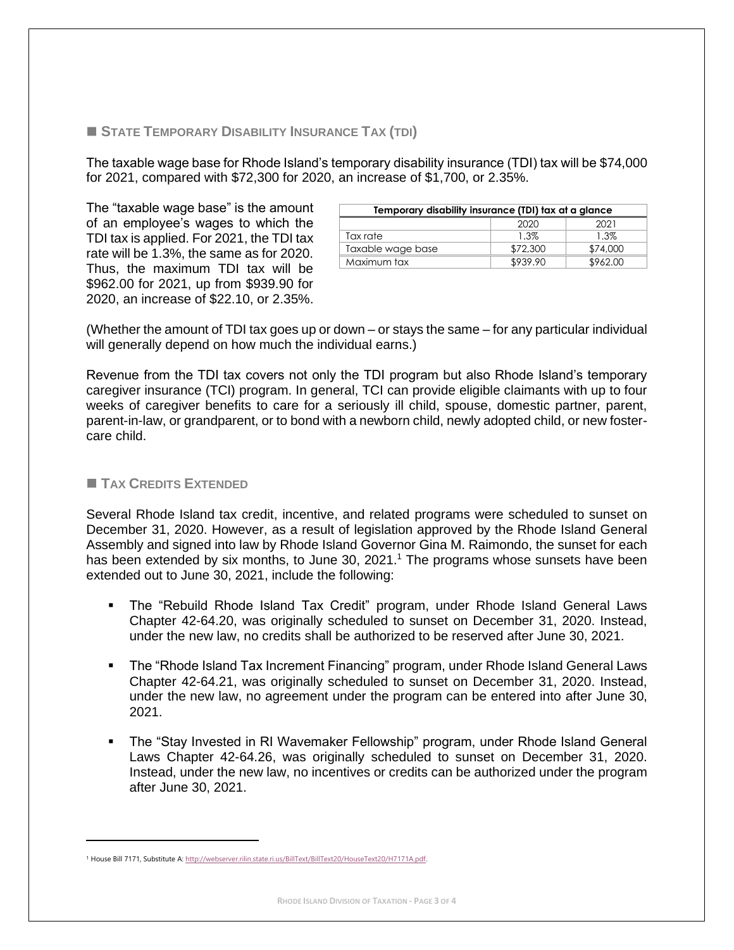### ◼ **STATE TEMPORARY DISABILITY INSURANCE TAX (TDI)**

The taxable wage base for Rhode Island's temporary disability insurance (TDI) tax will be \$74,000 for 2021, compared with \$72,300 for 2020, an increase of \$1,700, or 2.35%.

The "taxable wage base" is the amount of an employee's wages to which the TDI tax is applied. For 2021, the TDI tax rate will be 1.3%, the same as for 2020. Thus, the maximum TDI tax will be \$962.00 for 2021, up from \$939.90 for 2020, an increase of \$22.10, or 2.35%.

| Temporary disability insurance (TDI) tax at a glance |          |          |  |
|------------------------------------------------------|----------|----------|--|
|                                                      | 2020     | 2021     |  |
| Tax rate                                             | 1.3%     | 1.3%     |  |
| Taxable wage base                                    | \$72,300 | \$74,000 |  |
| Maximum tax                                          | \$939.90 | \$962.00 |  |

(Whether the amount of TDI tax goes up or down – or stays the same – for any particular individual will generally depend on how much the individual earns.)

Revenue from the TDI tax covers not only the TDI program but also Rhode Island's temporary caregiver insurance (TCI) program. In general, TCI can provide eligible claimants with up to four weeks of caregiver benefits to care for a seriously ill child, spouse, domestic partner, parent, parent-in-law, or grandparent, or to bond with a newborn child, newly adopted child, or new fostercare child.

#### ◼ **TAX CREDITS EXTENDED**

Several Rhode Island tax credit, incentive, and related programs were scheduled to sunset on December 31, 2020. However, as a result of legislation approved by the Rhode Island General Assembly and signed into law by Rhode Island Governor Gina M. Raimondo, the sunset for each has been extended by six months, to June 30, 2021.<sup>1</sup> The programs whose sunsets have been extended out to June 30, 2021, include the following:

- The "Rebuild Rhode Island Tax Credit" program, under Rhode Island General Laws Chapter 42-64.20, was originally scheduled to sunset on December 31, 2020. Instead, under the new law, no credits shall be authorized to be reserved after June 30, 2021.
- The "Rhode Island Tax Increment Financing" program, under Rhode Island General Laws Chapter 42-64.21, was originally scheduled to sunset on December 31, 2020. Instead, under the new law, no agreement under the program can be entered into after June 30, 2021.
- The "Stay Invested in RI Wavemaker Fellowship" program, under Rhode Island General Laws Chapter 42-64.26, was originally scheduled to sunset on December 31, 2020. Instead, under the new law, no incentives or credits can be authorized under the program after June 30, 2021.

<sup>&</sup>lt;sup>1</sup> House Bill 7171. Substitute A[: http://webserver.rilin.state.ri.us/BillText/BillText20/HouseText20/H7171A.pdf.](http://webserver.rilin.state.ri.us/BillText/BillText20/HouseText20/H7171A.pdf)